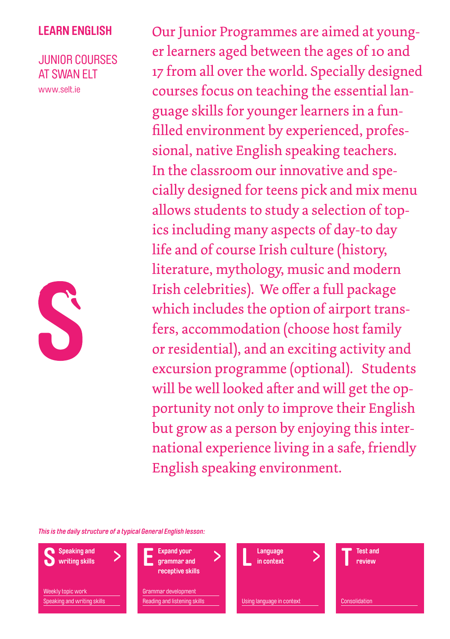## **learn english**

## junior courses At SWAN ELT

www.selt.ie



Our Junior Programmes are aimed at younger learners aged between the ages of 10 and 17 from all over the world. Specially designed courses focus on teaching the essential language skills for younger learners in a funfilled environment by experienced, professional, native English speaking teachers. In the classroom our innovative and specially designed for teens pick and mix menu allows students to study a selection of topics including many aspects of day-to day life and of course Irish culture (history, literature, mythology, music and modern Irish celebrities). We offer a full package which includes the option of airport transfers, accommodation (choose host family or residential), and an exciting activity and excursion programme (optional). Students will be well looked after and will get the opportunity not only to improve their English but grow as a person by enjoying this international experience living in a safe, friendly English speaking environment.

*This is the daily structure of a typical General English lesson:*

**Speaking and writing skills**  Weekly topic work Speaking and writing skills